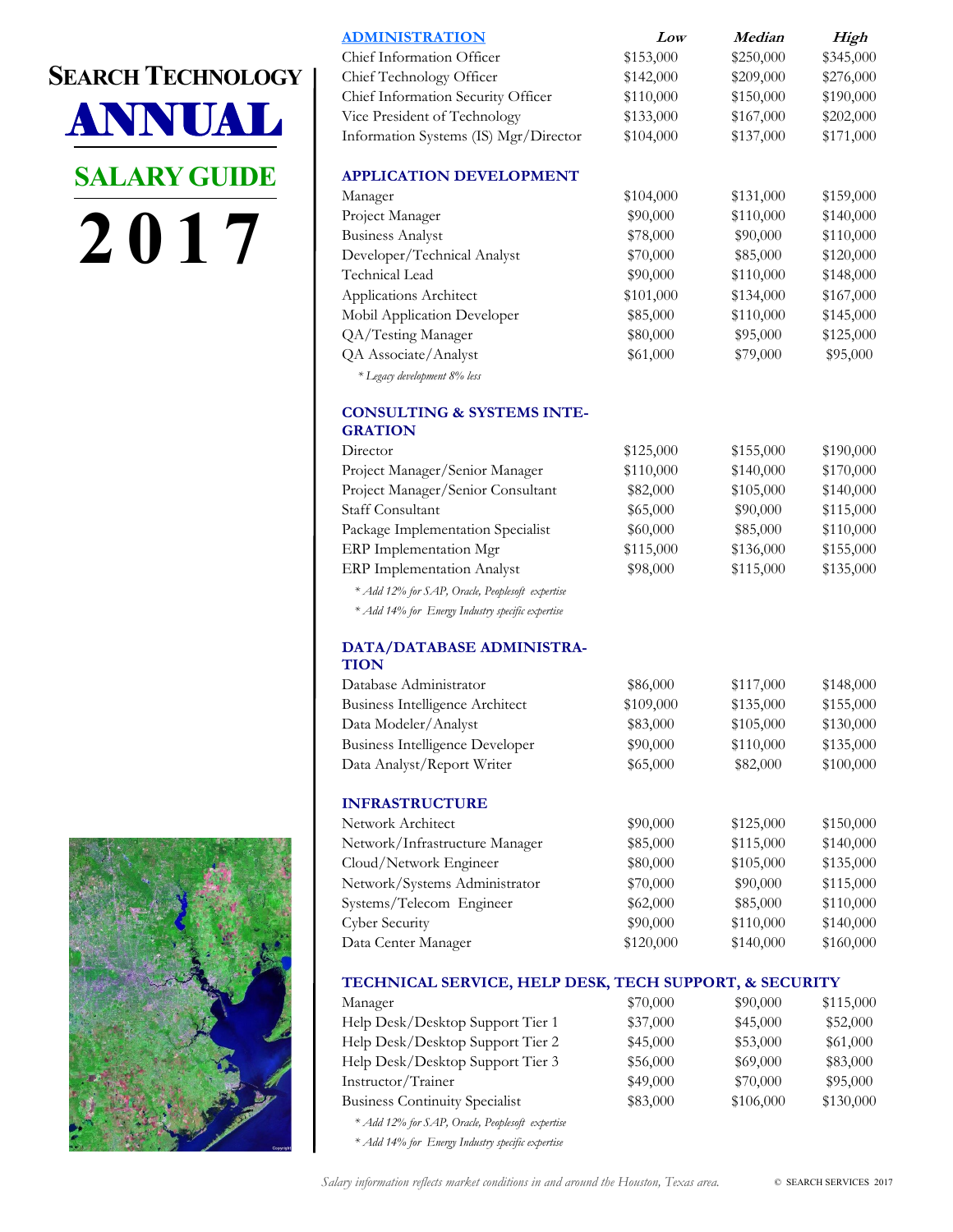# **SEARCH TECHNOLOGY** ANNUAL

**SALARY GUIDE 2 0 1 7**



| <b>ADMINISTRATION</b>                 | Low       | Median    | High      |
|---------------------------------------|-----------|-----------|-----------|
| Chief Information Officer             | \$153,000 | \$250,000 | \$345,000 |
| Chief Technology Officer              | \$142,000 | \$209,000 | \$276,000 |
| Chief Information Security Officer    | \$110,000 | \$150,000 | \$190,000 |
| Vice President of Technology          | \$133,000 | \$167,000 | \$202,000 |
| Information Systems (IS) Mgr/Director | \$104,000 | \$137,000 | \$171,000 |

## **APPLICATION DEVELOPMENT**

| Manager                     | \$104,000 | \$131,000 | \$159,000 |
|-----------------------------|-----------|-----------|-----------|
| Project Manager             | \$90,000  | \$110,000 | \$140,000 |
| <b>Business Analyst</b>     | \$78,000  | \$90,000  | \$110,000 |
| Developer/Technical Analyst | \$70,000  | \$85,000  | \$120,000 |
| Technical Lead              | \$90,000  | \$110,000 | \$148,000 |
| Applications Architect      | \$101,000 | \$134,000 | \$167,000 |
| Mobil Application Developer | \$85,000  | \$110,000 | \$145,000 |
| QA/Testing Manager          | \$80,000  | \$95,000  | \$125,000 |
| QA Associate/Analyst        | \$61,000  | \$79,000  | \$95,000  |
| $*$ I  I L $00/$ L          |           |           |           |

 *\* Legacy development 8% less*

## **CONSULTING & SYSTEMS INTE-GRATION**

| Director                                        | \$125,000 | \$155,000 | \$190,000 |
|-------------------------------------------------|-----------|-----------|-----------|
| Project Manager/Senior Manager                  | \$110,000 | \$140,000 | \$170,000 |
| Project Manager/Senior Consultant               | \$82,000  | \$105,000 | \$140,000 |
| <b>Staff Consultant</b>                         | \$65,000  | \$90,000  | \$115,000 |
| Package Implementation Specialist               | \$60,000  | \$85,000  | \$110,000 |
| ERP Implementation Mgr                          | \$115,000 | \$136,000 | \$155,000 |
| ERP Implementation Analyst                      | \$98,000  | \$115,000 | \$135,000 |
| * Add 12% for SAP, Oracle, Peoplesoft expertise |           |           |           |

 *\* Add 14% for Energy Industry specific expertise*

#### **DATA/DATABASE ADMINISTRA-TION**

| TIVIN                           |           |           |           |
|---------------------------------|-----------|-----------|-----------|
| Database Administrator          | \$86,000  | \$117,000 | \$148,000 |
| Business Intelligence Architect | \$109,000 | \$135,000 | \$155,000 |
| Data Modeler/Analyst            | \$83,000  | \$105,000 | \$130,000 |
| Business Intelligence Developer | \$90,000  | \$110,000 | \$135,000 |
| Data Analyst/Report Writer      | \$65,000  | \$82,000  | \$100,000 |
|                                 |           |           |           |

## **INFRASTRUCTURE**

| Network Architect              | \$90,000  | \$125,000 | \$150,000 |
|--------------------------------|-----------|-----------|-----------|
| Network/Infrastructure Manager | \$85,000  | \$115,000 | \$140,000 |
| Cloud/Network Engineer         | \$80,000  | \$105,000 | \$135,000 |
| Network/Systems Administrator  | \$70,000  | \$90,000  | \$115,000 |
| Systems/Telecom Engineer       | \$62,000  | \$85,000  | \$110,000 |
| <b>Cyber Security</b>          | \$90,000  | \$110,000 | \$140,000 |
| Data Center Manager            | \$120,000 | \$140,000 | \$160,000 |

## **TECHNICAL SERVICE, HELP DESK, TECH SUPPORT, & SECURITY**

| Manager                                         | \$70,000 | \$90,000  | \$115,000 |
|-------------------------------------------------|----------|-----------|-----------|
| Help Desk/Desktop Support Tier 1                | \$37,000 | \$45,000  | \$52,000  |
| Help Desk/Desktop Support Tier 2                | \$45,000 | \$53,000  | \$61,000  |
| Help Desk/Desktop Support Tier 3                | \$56,000 | \$69,000  | \$83,000  |
| Instructor/Trainer                              | \$49,000 | \$70,000  | \$95,000  |
| <b>Business Continuity Specialist</b>           | \$83,000 | \$106,000 | \$130,000 |
| * Add 12% for SAP, Oracle, Peoplesoft expertise |          |           |           |

 *\* Add 14% for Energy Industry specific expertise*